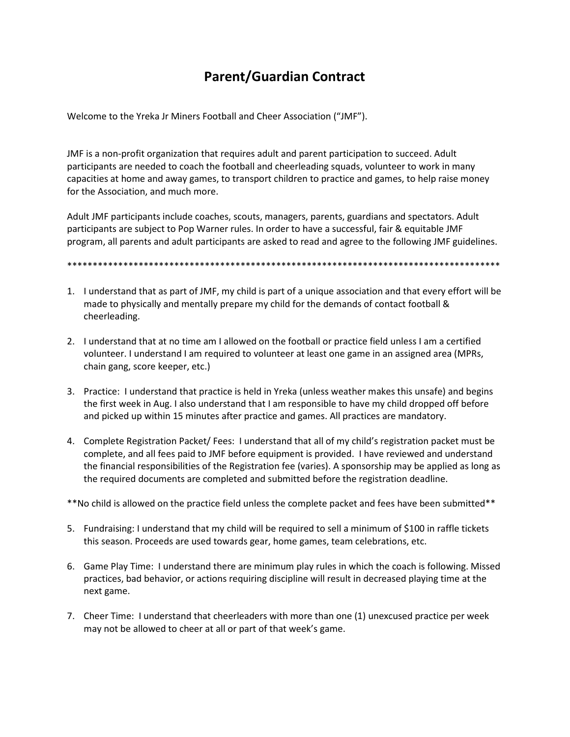## **Parent/Guardian Contract**

Welcome to the Yreka Jr Miners Football and Cheer Association ("JMF").

JMF is a non-profit organization that requires adult and parent participation to succeed. Adult participants are needed to coach the football and cheerleading squads, volunteer to work in many capacities at home and away games, to transport children to practice and games, to help raise money for the Association, and much more.

Adult JMF participants include coaches, scouts, managers, parents, guardians and spectators. Adult participants are subject to Pop Warner rules. In order to have a successful, fair & equitable JMF program, all parents and adult participants are asked to read and agree to the following JMF guidelines.

## \*\*\*\*\*\*\*\*\*\*\*\*\*\*\*\*\*\*\*\*\*\*\*\*\*\*\*\*\*\*\*\*\*\*\*\*\*\*\*\*\*\*\*\*\*\*\*\*\*\*\*\*\*\*\*\*\*\*\*\*\*\*\*\*\*\*\*\*\*\*\*\*\*\*\*\*\*\*\*\*\*\*\*\*\*

- 1. I understand that as part of JMF, my child is part of a unique association and that every effort will be made to physically and mentally prepare my child for the demands of contact football & cheerleading.
- 2. I understand that at no time am I allowed on the football or practice field unless I am a certified volunteer. I understand I am required to volunteer at least one game in an assigned area (MPRs, chain gang, score keeper, etc.)
- 3. Practice: I understand that practice is held in Yreka (unless weather makes this unsafe) and begins the first week in Aug. I also understand that I am responsible to have my child dropped off before and picked up within 15 minutes after practice and games. All practices are mandatory.
- 4. Complete Registration Packet/ Fees: I understand that all of my child's registration packet must be complete, and all fees paid to JMF before equipment is provided. I have reviewed and understand the financial responsibilities of the Registration fee (varies). A sponsorship may be applied as long as the required documents are completed and submitted before the registration deadline.

\*\*No child is allowed on the practice field unless the complete packet and fees have been submitted\*\*

- 5. Fundraising: I understand that my child will be required to sell a minimum of \$100 in raffle tickets this season. Proceeds are used towards gear, home games, team celebrations, etc.
- 6. Game Play Time: I understand there are minimum play rules in which the coach is following. Missed practices, bad behavior, or actions requiring discipline will result in decreased playing time at the next game.
- 7. Cheer Time: I understand that cheerleaders with more than one (1) unexcused practice per week may not be allowed to cheer at all or part of that week's game.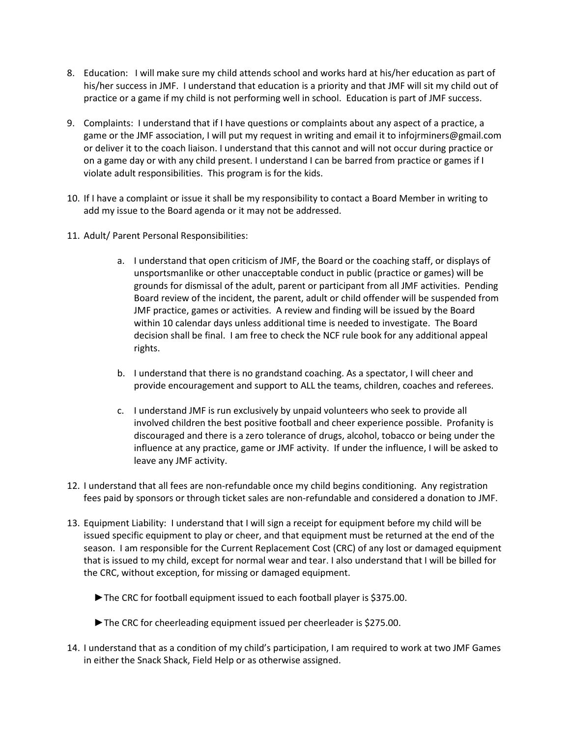- 8. Education: I will make sure my child attends school and works hard at his/her education as part of his/her success in JMF. I understand that education is a priority and that JMF will sit my child out of practice or a game if my child is not performing well in school. Education is part of JMF success.
- 9. Complaints: I understand that if I have questions or complaints about any aspect of a practice, a game or the JMF association, I will put my request in writing and email it to infojrminers@gmail.com or deliver it to the coach liaison. I understand that this cannot and will not occur during practice or on a game day or with any child present. I understand I can be barred from practice or games if I violate adult responsibilities. This program is for the kids.
- 10. If I have a complaint or issue it shall be my responsibility to contact a Board Member in writing to add my issue to the Board agenda or it may not be addressed.
- 11. Adult/ Parent Personal Responsibilities:
	- a. I understand that open criticism of JMF, the Board or the coaching staff, or displays of unsportsmanlike or other unacceptable conduct in public (practice or games) will be grounds for dismissal of the adult, parent or participant from all JMF activities. Pending Board review of the incident, the parent, adult or child offender will be suspended from JMF practice, games or activities. A review and finding will be issued by the Board within 10 calendar days unless additional time is needed to investigate. The Board decision shall be final. I am free to check the NCF rule book for any additional appeal rights.
	- b. I understand that there is no grandstand coaching. As a spectator, I will cheer and provide encouragement and support to ALL the teams, children, coaches and referees.
	- c. I understand JMF is run exclusively by unpaid volunteers who seek to provide all involved children the best positive football and cheer experience possible. Profanity is discouraged and there is a zero tolerance of drugs, alcohol, tobacco or being under the influence at any practice, game or JMF activity. If under the influence, I will be asked to leave any JMF activity.
- 12. I understand that all fees are non-refundable once my child begins conditioning. Any registration fees paid by sponsors or through ticket sales are non-refundable and considered a donation to JMF.
- 13. Equipment Liability: I understand that I will sign a receipt for equipment before my child will be issued specific equipment to play or cheer, and that equipment must be returned at the end of the season. I am responsible for the Current Replacement Cost (CRC) of any lost or damaged equipment that is issued to my child, except for normal wear and tear. I also understand that I will be billed for the CRC, without exception, for missing or damaged equipment.
	- ►The CRC for football equipment issued to each football player is \$375.00.
	- ►The CRC for cheerleading equipment issued per cheerleader is \$275.00.
- 14. I understand that as a condition of my child's participation, I am required to work at two JMF Games in either the Snack Shack, Field Help or as otherwise assigned.